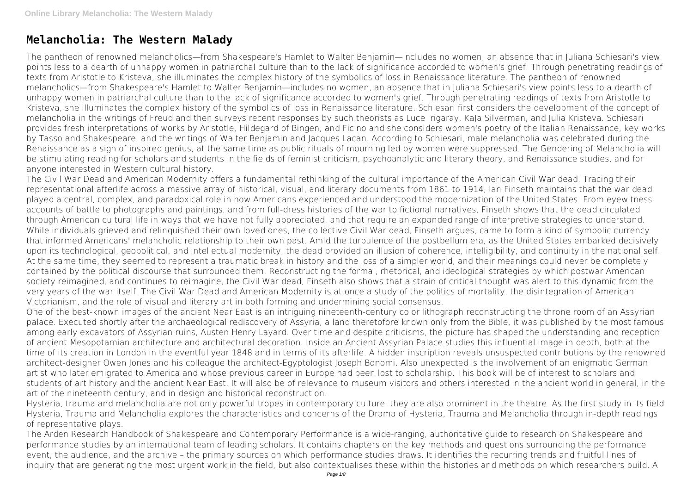# **Melancholia: The Western Malady**

The pantheon of renowned melancholics—from Shakespeare's Hamlet to Walter Benjamin—includes no women, an absence that in Juliana Schiesari's view points less to a dearth of unhappy women in patriarchal culture than to the lack of significance accorded to women's grief. Through penetrating readings of texts from Aristotle to Kristeva, she illuminates the complex history of the symbolics of loss in Renaissance literature. The pantheon of renowned melancholics—from Shakespeare's Hamlet to Walter Benjamin—includes no women, an absence that in Juliana Schiesari's view points less to a dearth of unhappy women in patriarchal culture than to the lack of significance accorded to women's grief. Through penetrating readings of texts from Aristotle to Kristeva, she illuminates the complex history of the symbolics of loss in Renaissance literature. Schiesari first considers the development of the concept of melancholia in the writings of Freud and then surveys recent responses by such theorists as Luce Irigaray, KaJa Silverman, and Julia Kristeva. Schiesari provides fresh interpretations of works by Aristotle, Hildegard of Bingen, and Ficino and she considers women's poetry of the Italian Renaissance, key works by Tasso and Shakespeare, and the writings of Walter Benjamin and Jacques Lacan. According to Schiesari, male melancholia was celebrated during the Renaissance as a sign of inspired genius, at the same time as public rituals of mourning led by women were suppressed. The Gendering of Melancholia will be stimulating reading for scholars and students in the fields of feminist criticism, psychoanalytic and literary theory, and Renaissance studies, and for anyone interested in Western cultural history.

The Civil War Dead and American Modernity offers a fundamental rethinking of the cultural importance of the American Civil War dead. Tracing their representational afterlife across a massive array of historical, visual, and literary documents from 1861 to 1914, Ian Finseth maintains that the war dead played a central, complex, and paradoxical role in how Americans experienced and understood the modernization of the United States. From eyewitness accounts of battle to photographs and paintings, and from full-dress histories of the war to fictional narratives, Finseth shows that the dead circulated through American cultural life in ways that we have not fully appreciated, and that require an expanded range of interpretive strategies to understand. While individuals grieved and relinquished their own loved ones, the collective Civil War dead, Finseth argues, came to form a kind of symbolic currency that informed Americans' melancholic relationship to their own past. Amid the turbulence of the postbellum era, as the United States embarked decisively upon its technological, geopolitical, and intellectual modernity, the dead provided an illusion of coherence, intelligibility, and continuity in the national self. At the same time, they seemed to represent a traumatic break in history and the loss of a simpler world, and their meanings could never be completely contained by the political discourse that surrounded them. Reconstructing the formal, rhetorical, and ideological strategies by which postwar American society reimagined, and continues to reimagine, the Civil War dead, Finseth also shows that a strain of critical thought was alert to this dynamic from the very years of the war itself. The Civil War Dead and American Modernity is at once a study of the politics of mortality, the disintegration of American Victorianism, and the role of visual and literary art in both forming and undermining social consensus.

One of the best-known images of the ancient Near East is an intriguing nineteenth-century color lithograph reconstructing the throne room of an Assyrian palace. Executed shortly after the archaeological rediscovery of Assyria, a land theretofore known only from the Bible, it was published by the most famous among early excavators of Assyrian ruins, Austen Henry Layard. Over time and despite criticisms, the picture has shaped the understanding and reception of ancient Mesopotamian architecture and architectural decoration. Inside an Ancient Assyrian Palace studies this influential image in depth, both at the time of its creation in London in the eventful year 1848 and in terms of its afterlife. A hidden inscription reveals unsuspected contributions by the renowned architect-designer Owen Jones and his colleague the architect-Egyptologist Joseph Bonomi. Also unexpected is the involvement of an enigmatic German artist who later emigrated to America and whose previous career in Europe had been lost to scholarship. This book will be of interest to scholars and students of art history and the ancient Near East. It will also be of relevance to museum visitors and others interested in the ancient world in general, in the art of the nineteenth century, and in design and historical reconstruction.

Hysteria, trauma and melancholia are not only powerful tropes in contemporary culture, they are also prominent in the theatre. As the first study in its field, Hysteria, Trauma and Melancholia explores the characteristics and concerns of the Drama of Hysteria, Trauma and Melancholia through in-depth readings of representative plays.

The Arden Research Handbook of Shakespeare and Contemporary Performance is a wide-ranging, authoritative guide to research on Shakespeare and performance studies by an international team of leading scholars. It contains chapters on the key methods and questions surrounding the performance event, the audience, and the archive – the primary sources on which performance studies draws. It identifies the recurring trends and fruitful lines of inquiry that are generating the most urgent work in the field, but also contextualises these within the histories and methods on which researchers build. A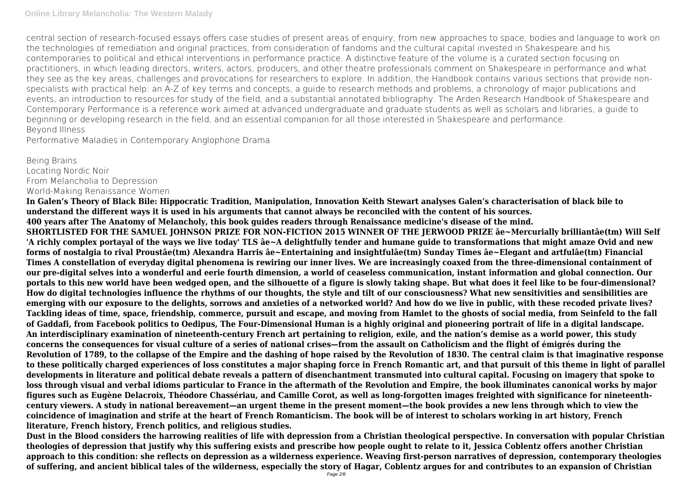central section of research-focused essays offers case studies of present areas of enquiry, from new approaches to space, bodies and language to work on the technologies of remediation and original practices, from consideration of fandoms and the cultural capital invested in Shakespeare and his contemporaries to political and ethical interventions in performance practice. A distinctive feature of the volume is a curated section focusing on practitioners, in which leading directors, writers, actors, producers, and other theatre professionals comment on Shakespeare in performance and what they see as the key areas, challenges and provocations for researchers to explore. In addition, the Handbook contains various sections that provide nonspecialists with practical help: an A-Z of key terms and concepts, a guide to research methods and problems, a chronology of major publications and events, an introduction to resources for study of the field, and a substantial annotated bibliography. The Arden Research Handbook of Shakespeare and Contemporary Performance is a reference work aimed at advanced undergraduate and graduate students as well as scholars and libraries, a guide to beginning or developing research in the field, and an essential companion for all those interested in Shakespeare and performance. Beyond Illness

Performative Maladies in Contemporary Anglophone Drama

Being Brains Locating Nordic Noir From Melancholia to Depression World-Making Renaissance Women

**In Galen's Theory of Black Bile: Hippocratic Tradition, Manipulation, Innovation Keith Stewart analyses Galen's characterisation of black bile to understand the different ways it is used in his arguments that cannot always be reconciled with the content of his sources. 400 years after The Anatomy of Melancholy, this book guides readers through Renaissance medicine's disease of the mind. SHORTLISTED FOR THE SAMUEL JOHNSON PRIZE FOR NON-FICTION 2015 WINNER OF THE JERWOOD PRIZE âe~Mercurially brilliantâe(tm) Will Self 'A richly complex portayal of the ways we live today' TLS âe~A delightfully tender and humane guide to transformations that might amaze Ovid and new forms of nostalgia to rival Proustâe(tm) Alexandra Harris âe~Entertaining and insightfulâe(tm) Sunday Times âe~Elegant and artfulâe(tm) Financial Times A constellation of everyday digital phenomena is rewiring our inner lives. We are increasingly coaxed from the three-dimensional containment of our pre-digital selves into a wonderful and eerie fourth dimension, a world of ceaseless communication, instant information and global connection. Our portals to this new world have been wedged open, and the silhouette of a figure is slowly taking shape. But what does it feel like to be four-dimensional? How do digital technologies influence the rhythms of our thoughts, the style and tilt of our consciousness? What new sensitivities and sensibilities are emerging with our exposure to the delights, sorrows and anxieties of a networked world? And how do we live in public, with these recoded private lives? Tackling ideas of time, space, friendship, commerce, pursuit and escape, and moving from Hamlet to the ghosts of social media, from Seinfeld to the fall of Gaddafi, from Facebook politics to Oedipus, The Four-Dimensional Human is a highly original and pioneering portrait of life in a digital landscape. An interdisciplinary examination of nineteenth-century French art pertaining to religion, exile, and the nation's demise as a world power, this study concerns the consequences for visual culture of a series of national crises—from the assault on Catholicism and the flight of émigrés during the Revolution of 1789, to the collapse of the Empire and the dashing of hope raised by the Revolution of 1830. The central claim is that imaginative response to these politically charged experiences of loss constitutes a major shaping force in French Romantic art, and that pursuit of this theme in light of parallel developments in literature and political debate reveals a pattern of disenchantment transmuted into cultural capital. Focusing on imagery that spoke to loss through visual and verbal idioms particular to France in the aftermath of the Revolution and Empire, the book illuminates canonical works by major figures such as Eugène Delacroix, Théodore Chassériau, and Camille Corot, as well as long-forgotten images freighted with significance for nineteenthcentury viewers. A study in national bereavement—an urgent theme in the present moment—the book provides a new lens through which to view the coincidence of imagination and strife at the heart of French Romanticism. The book will be of interest to scholars working in art history, French literature, French history, French politics, and religious studies.**

**Dust in the Blood considers the harrowing realities of life with depression from a Christian theological perspective. In conversation with popular Christian theologies of depression that justify why this suffering exists and prescribe how people ought to relate to it, Jessica Coblentz offers another Christian approach to this condition: she reflects on depression as a wilderness experience. Weaving first-person narratives of depression, contemporary theologies of suffering, and ancient biblical tales of the wilderness, especially the story of Hagar, Coblentz argues for and contributes to an expansion of Christian**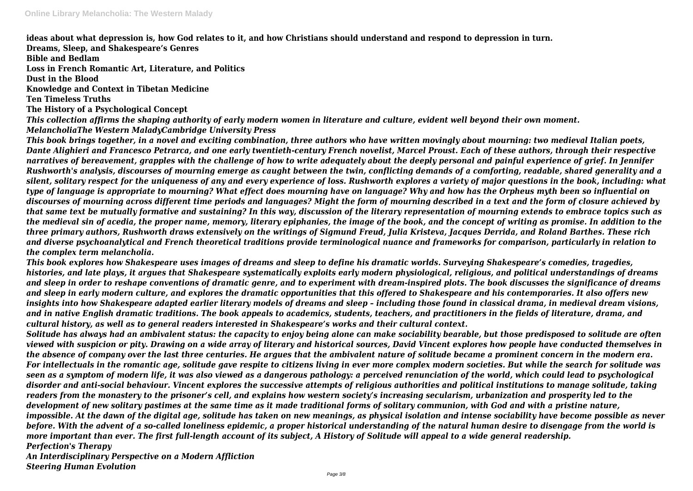**ideas about what depression is, how God relates to it, and how Christians should understand and respond to depression in turn. Dreams, Sleep, and Shakespeare's Genres**

**Bible and Bedlam**

**Loss in French Romantic Art, Literature, and Politics**

**Dust in the Blood**

**Knowledge and Context in Tibetan Medicine**

**Ten Timeless Truths**

**The History of a Psychological Concept**

*This collection affirms the shaping authority of early modern women in literature and culture, evident well beyond their own moment. MelancholiaThe Western MaladyCambridge University Press*

*This book brings together, in a novel and exciting combination, three authors who have written movingly about mourning: two medieval Italian poets, Dante Alighieri and Francesco Petrarca, and one early twentieth-century French novelist, Marcel Proust. Each of these authors, through their respective narratives of bereavement, grapples with the challenge of how to write adequately about the deeply personal and painful experience of grief. In Jennifer Rushworth's analysis, discourses of mourning emerge as caught between the twin, conflicting demands of a comforting, readable, shared generality and a silent, solitary respect for the uniqueness of any and every experience of loss. Rushworth explores a variety of major questions in the book, including: what type of language is appropriate to mourning? What effect does mourning have on language? Why and how has the Orpheus myth been so influential on discourses of mourning across different time periods and languages? Might the form of mourning described in a text and the form of closure achieved by that same text be mutually formative and sustaining? In this way, discussion of the literary representation of mourning extends to embrace topics such as the medieval sin of acedia, the proper name, memory, literary epiphanies, the image of the book, and the concept of writing as promise. In addition to the three primary authors, Rushworth draws extensively on the writings of Sigmund Freud, Julia Kristeva, Jacques Derrida, and Roland Barthes. These rich and diverse psychoanalytical and French theoretical traditions provide terminological nuance and frameworks for comparison, particularly in relation to the complex term melancholia.*

*This book explores how Shakespeare uses images of dreams and sleep to define his dramatic worlds. Surveying Shakespeare's comedies, tragedies, histories, and late plays, it argues that Shakespeare systematically exploits early modern physiological, religious, and political understandings of dreams and sleep in order to reshape conventions of dramatic genre, and to experiment with dream-inspired plots. The book discusses the significance of dreams and sleep in early modern culture, and explores the dramatic opportunities that this offered to Shakespeare and his contemporaries. It also offers new insights into how Shakespeare adapted earlier literary models of dreams and sleep – including those found in classical drama, in medieval dream visions, and in native English dramatic traditions. The book appeals to academics, students, teachers, and practitioners in the fields of literature, drama, and cultural history, as well as to general readers interested in Shakespeare's works and their cultural context.*

*Solitude has always had an ambivalent status: the capacity to enjoy being alone can make sociability bearable, but those predisposed to solitude are often viewed with suspicion or pity. Drawing on a wide array of literary and historical sources, David Vincent explores how people have conducted themselves in the absence of company over the last three centuries. He argues that the ambivalent nature of solitude became a prominent concern in the modern era. For intellectuals in the romantic age, solitude gave respite to citizens living in ever more complex modern societies. But while the search for solitude was seen as a symptom of modern life, it was also viewed as a dangerous pathology: a perceived renunciation of the world, which could lead to psychological disorder and anti-social behaviour. Vincent explores the successive attempts of religious authorities and political institutions to manage solitude, taking readers from the monastery to the prisoner's cell, and explains how western society's increasing secularism, urbanization and prosperity led to the development of new solitary pastimes at the same time as it made traditional forms of solitary communion, with God and with a pristine nature, impossible. At the dawn of the digital age, solitude has taken on new meanings, as physical isolation and intense sociability have become possible as never before. With the advent of a so-called loneliness epidemic, a proper historical understanding of the natural human desire to disengage from the world is more important than ever. The first full-length account of its subject, A History of Solitude will appeal to a wide general readership. Perfection's Therapy*

*An Interdisciplinary Perspective on a Modern Affliction Steering Human Evolution*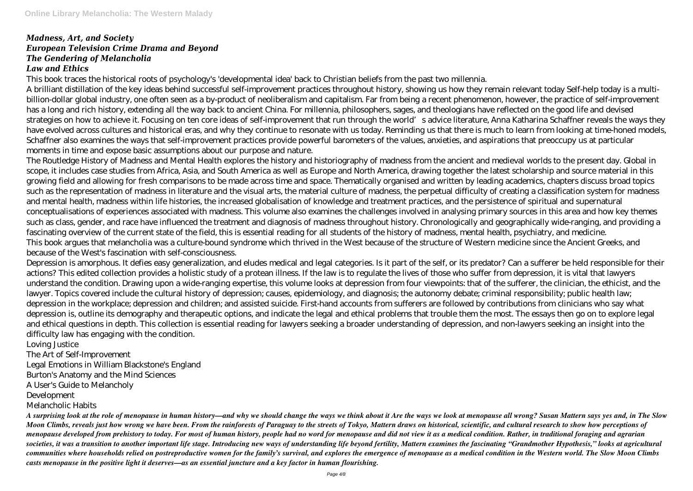## *Madness, Art, and Society European Television Crime Drama and Beyond The Gendering of Melancholia Law and Ethics*

This book traces the historical roots of psychology's 'developmental idea' back to Christian beliefs from the past two millennia.

A brilliant distillation of the key ideas behind successful self-improvement practices throughout history, showing us how they remain relevant today Self-help today is a multibillion-dollar global industry, one often seen as a by-product of neoliberalism and capitalism. Far from being a recent phenomenon, however, the practice of self-improvement has a long and rich history, extending all the way back to ancient China. For millennia, philosophers, sages, and theologians have reflected on the good life and devised strategies on how to achieve it. Focusing on ten core ideas of self-improvement that run through the world's advice literature, Anna Katharina Schaffner reveals the ways they have evolved across cultures and historical eras, and why they continue to resonate with us today. Reminding us that there is much to learn from looking at time-honed models, Schaffner also examines the ways that self-improvement practices provide powerful barometers of the values, anxieties, and aspirations that preoccupy us at particular moments in time and expose basic assumptions about our purpose and nature.

The Routledge History of Madness and Mental Health explores the history and historiography of madness from the ancient and medieval worlds to the present day. Global in scope, it includes case studies from Africa, Asia, and South America as well as Europe and North America, drawing together the latest scholarship and source material in this growing field and allowing for fresh comparisons to be made across time and space. Thematically organised and written by leading academics, chapters discuss broad topics such as the representation of madness in literature and the visual arts, the material culture of madness, the perpetual difficulty of creating a classification system for madness and mental health, madness within life histories, the increased globalisation of knowledge and treatment practices, and the persistence of spiritual and supernatural conceptualisations of experiences associated with madness. This volume also examines the challenges involved in analysing primary sources in this area and how key themes such as class, gender, and race have influenced the treatment and diagnosis of madness throughout history. Chronologically and geographically wide-ranging, and providing a fascinating overview of the current state of the field, this is essential reading for all students of the history of madness, mental health, psychiatry, and medicine. This book argues that melancholia was a culture-bound syndrome which thrived in the West because of the structure of Western medicine since the Ancient Greeks, and because of the West's fascination with self-consciousness.

Depression is amorphous. It defies easy generalization, and eludes medical and legal categories. Is it part of the self, or its predator? Can a sufferer be held responsible for their actions? This edited collection provides a holistic study of a protean illness. If the law is to regulate the lives of those who suffer from depression, it is vital that lawyers understand the condition. Drawing upon a wide-ranging expertise, this volume looks at depression from four viewpoints: that of the sufferer, the clinician, the ethicist, and the lawyer. Topics covered include the cultural history of depression; causes, epidemiology, and diagnosis; the autonomy debate; criminal responsibility; public health law; depression in the workplace; depression and children; and assisted suicide. First-hand accounts from sufferers are followed by contributions from clinicians who say what depression is, outline its demography and therapeutic options, and indicate the legal and ethical problems that trouble them the most. The essays then go on to explore legal and ethical questions in depth. This collection is essential reading for lawyers seeking a broader understanding of depression, and non-lawyers seeking an insight into the difficulty law has engaging with the condition.

Loving Justice

The Art of Self-Improvement

Legal Emotions in William Blackstone's England

Burton's Anatomy and the Mind Sciences

A User's Guide to Melancholy

Development

Melancholic Habits

*A surprising look at the role of menopause in human history—and why we should change the ways we think about it Are the ways we look at menopause all wrong? Susan Mattern says yes and, in The Slow Moon Climbs, reveals just how wrong we have been. From the rainforests of Paraguay to the streets of Tokyo, Mattern draws on historical, scientific, and cultural research to show how perceptions of menopause developed from prehistory to today. For most of human history, people had no word for menopause and did not view it as a medical condition. Rather, in traditional foraging and agrarian societies, it was a transition to another important life stage. Introducing new ways of understanding life beyond fertility, Mattern examines the fascinating "Grandmother Hypothesis," looks at agricultural communities where households relied on postreproductive women for the family's survival, and explores the emergence of menopause as a medical condition in the Western world. The Slow Moon Climbs casts menopause in the positive light it deserves—as an essential juncture and a key factor in human flourishing.*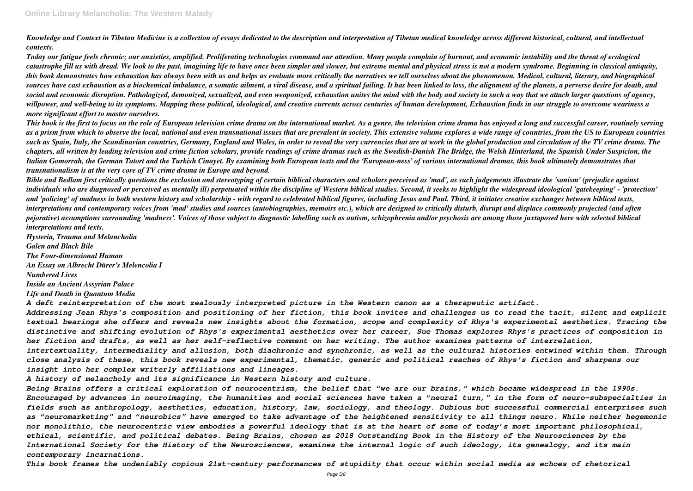*Knowledge and Context in Tibetan Medicine is a collection of essays dedicated to the description and interpretation of Tibetan medical knowledge across different historical, cultural, and intellectual contexts.*

*Today our fatigue feels chronic; our anxieties, amplified. Proliferating technologies command our attention. Many people complain of burnout, and economic instability and the threat of ecological catastrophe fill us with dread. We look to the past, imagining life to have once been simpler and slower, but extreme mental and physical stress is not a modern syndrome. Beginning in classical antiquity, this book demonstrates how exhaustion has always been with us and helps us evaluate more critically the narratives we tell ourselves about the phenomenon. Medical, cultural, literary, and biographical sources have cast exhaustion as a biochemical imbalance, a somatic ailment, a viral disease, and a spiritual failing. It has been linked to loss, the alignment of the planets, a perverse desire for death, and social and economic disruption. Pathologized, demonized, sexualized, and even weaponized, exhaustion unites the mind with the body and society in such a way that we attach larger questions of agency, willpower, and well-being to its symptoms. Mapping these political, ideological, and creative currents across centuries of human development, Exhaustion finds in our struggle to overcome weariness a more significant effort to master ourselves.*

*This book is the first to focus on the role of European television crime drama on the international market. As a genre, the television crime drama has enjoyed a long and successful career, routinely serving as a prism from which to observe the local, national and even transnational issues that are prevalent in society. This extensive volume explores a wide range of countries, from the US to European countries such as Spain, Italy, the Scandinavian countries, Germany, England and Wales, in order to reveal the very currencies that are at work in the global production and circulation of the TV crime drama. The chapters, all written by leading television and crime fiction scholars, provide readings of crime dramas such as the Swedish-Danish The Bridge, the Welsh Hinterland, the Spanish Under Suspicion, the Italian Gomorrah, the German Tatort and the Turkish Cinayet. By examining both European texts and the 'European-ness' of various international dramas, this book ultimately demonstrates that transnationalism is at the very core of TV crime drama in Europe and beyond.*

*Bible and Bedlam first critically questions the exclusion and stereotyping of certain biblical characters and scholars perceived as 'mad', as such judgements illustrate the 'sanism' (prejudice against individuals who are diagnosed or perceived as mentally ill) perpetuated within the discipline of Western biblical studies. Second, it seeks to highlight the widespread ideological 'gatekeeping' - 'protection' and 'policing' of madness in both western history and scholarship - with regard to celebrated biblical figures, including Jesus and Paul. Third, it initiates creative exchanges between biblical texts, interpretations and contemporary voices from 'mad' studies and sources (autobiographies, memoirs etc.), which are designed to critically disturb, disrupt and displace commonly projected (and often pejorative) assumptions surrounding 'madness'. Voices of those subject to diagnostic labelling such as autism, schizophrenia and/or psychosis are among those juxtaposed here with selected biblical interpretations and texts.*

*Hysteria, Trauma and Melancholia Galen and Black Bile The Four-dimensional Human An Essay on Albrecht Dürer's Melencolia I Numbered Lives Inside an Ancient Assyrian Palace Life and Death in Quantum Media*

*A deft reinterpretation of the most zealously interpreted picture in the Western canon as a therapeutic artifact. Addressing Jean Rhys's composition and positioning of her fiction, this book invites and challenges us to read the tacit, silent and explicit textual bearings she offers and reveals new insights about the formation, scope and complexity of Rhys's experimental aesthetics. Tracing the distinctive and shifting evolution of Rhys's experimental aesthetics over her career, Sue Thomas explores Rhys's practices of composition in her fiction and drafts, as well as her self-reflective comment on her writing. The author examines patterns of interrelation, intertextuality, intermediality and allusion, both diachronic and synchronic, as well as the cultural histories entwined within them. Through close analysis of these, this book reveals new experimental, thematic, generic and political reaches of Rhys's fiction and sharpens our insight into her complex writerly affiliations and lineages.*

*A history of melancholy and its significance in Western history and culture.*

*Being Brains offers a critical exploration of neurocentrism, the belief that "we are our brains," which became widespread in the 1990s. Encouraged by advances in neuroimaging, the humanities and social sciences have taken a "neural turn," in the form of neuro-subspecialties in fields such as anthropology, aesthetics, education, history, law, sociology, and theology. Dubious but successful commercial enterprises such as "neuromarketing" and "neurobics" have emerged to take advantage of the heightened sensitivity to all things neuro. While neither hegemonic nor monolithic, the neurocentric view embodies a powerful ideology that is at the heart of some of today's most important philosophical, ethical, scientific, and political debates. Being Brains, chosen as 2018 Outstanding Book in the History of the Neurosciences by the International Society for the History of the Neurosciences, examines the internal logic of such ideology, its genealogy, and its main contemporary incarnations.*

*This book frames the undeniably copious 21st-century performances of stupidity that occur within social media as echoes of rhetorical*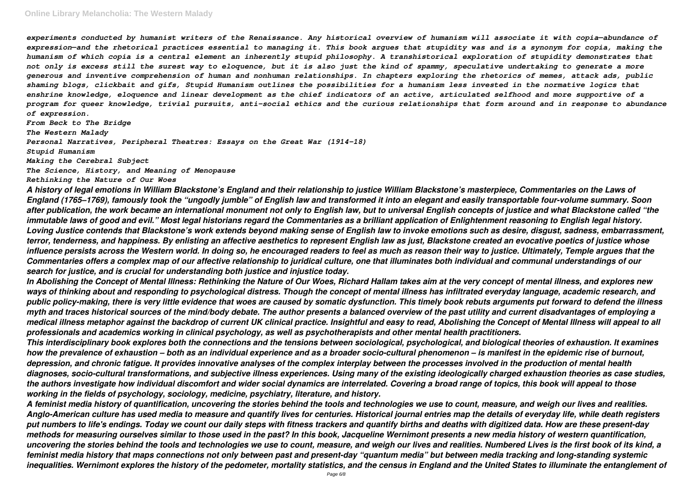### **Online Library Melancholia: The Western Malady**

*experiments conducted by humanist writers of the Renaissance. Any historical overview of humanism will associate it with copia—abundance of expression—and the rhetorical practices essential to managing it. This book argues that stupidity was and is a synonym for copia, making the humanism of which copia is a central element an inherently stupid philosophy. A transhistorical exploration of stupidity demonstrates that not only is excess still the surest way to eloquence, but it is also just the kind of spammy, speculative undertaking to generate a more generous and inventive comprehension of human and nonhuman relationships. In chapters exploring the rhetorics of memes, attack ads, public shaming blogs, clickbait and gifs, Stupid Humanism outlines the possibilities for a humanism less invested in the normative logics that enshrine knowledge, eloquence and linear development as the chief indicators of an active, articulated selfhood and more supportive of a program for queer knowledge, trivial pursuits, anti-social ethics and the curious relationships that form around and in response to abundance of expression.*

*From Beck to The Bridge The Western Malady Personal Narratives, Peripheral Theatres: Essays on the Great War (1914–18) Stupid Humanism Making the Cerebral Subject*

*The Science, History, and Meaning of Menopause*

*Rethinking the Nature of Our Woes*

*A history of legal emotions in William Blackstone's England and their relationship to justice William Blackstone's masterpiece, Commentaries on the Laws of England (1765–1769), famously took the "ungodly jumble" of English law and transformed it into an elegant and easily transportable four-volume summary. Soon after publication, the work became an international monument not only to English law, but to universal English concepts of justice and what Blackstone called "the immutable laws of good and evil." Most legal historians regard the Commentaries as a brilliant application of Enlightenment reasoning to English legal history. Loving Justice contends that Blackstone's work extends beyond making sense of English law to invoke emotions such as desire, disgust, sadness, embarrassment, terror, tenderness, and happiness. By enlisting an affective aesthetics to represent English law as just, Blackstone created an evocative poetics of justice whose influence persists across the Western world. In doing so, he encouraged readers to feel as much as reason their way to justice. Ultimately, Temple argues that the Commentaries offers a complex map of our affective relationship to juridical culture, one that illuminates both individual and communal understandings of our search for justice, and is crucial for understanding both justice and injustice today.*

*In Abolishing the Concept of Mental Illness: Rethinking the Nature of Our Woes, Richard Hallam takes aim at the very concept of mental illness, and explores new ways of thinking about and responding to psychological distress. Though the concept of mental illness has infiltrated everyday language, academic research, and public policy-making, there is very little evidence that woes are caused by somatic dysfunction. This timely book rebuts arguments put forward to defend the illness myth and traces historical sources of the mind/body debate. The author presents a balanced overview of the past utility and current disadvantages of employing a medical illness metaphor against the backdrop of current UK clinical practice. Insightful and easy to read, Abolishing the Concept of Mental Illness will appeal to all professionals and academics working in clinical psychology, as well as psychotherapists and other mental health practitioners. This interdisciplinary book explores both the connections and the tensions between sociological, psychological, and biological theories of exhaustion. It examines how the prevalence of exhaustion – both as an individual experience and as a broader socio-cultural phenomenon – is manifest in the epidemic rise of burnout, depression, and chronic fatigue. It provides innovative analyses of the complex interplay between the processes involved in the production of mental health diagnoses, socio-cultural transformations, and subjective illness experiences. Using many of the existing ideologically charged exhaustion theories as case studies, the authors investigate how individual discomfort and wider social dynamics are interrelated. Covering a broad range of topics, this book will appeal to those working in the fields of psychology, sociology, medicine, psychiatry, literature, and history.*

*A feminist media history of quantification, uncovering the stories behind the tools and technologies we use to count, measure, and weigh our lives and realities. Anglo-American culture has used media to measure and quantify lives for centuries. Historical journal entries map the details of everyday life, while death registers put numbers to life's endings. Today we count our daily steps with fitness trackers and quantify births and deaths with digitized data. How are these present-day methods for measuring ourselves similar to those used in the past? In this book, Jacqueline Wernimont presents a new media history of western quantification, uncovering the stories behind the tools and technologies we use to count, measure, and weigh our lives and realities. Numbered Lives is the first book of its kind, a feminist media history that maps connections not only between past and present-day "quantum media" but between media tracking and long-standing systemic inequalities. Wernimont explores the history of the pedometer, mortality statistics, and the census in England and the United States to illuminate the entanglement of*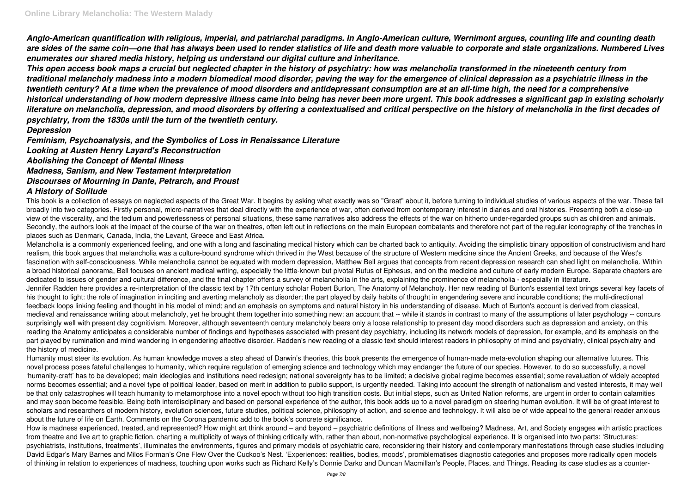*Anglo-American quantification with religious, imperial, and patriarchal paradigms. In Anglo-American culture, Wernimont argues, counting life and counting death are sides of the same coin—one that has always been used to render statistics of life and death more valuable to corporate and state organizations. Numbered Lives enumerates our shared media history, helping us understand our digital culture and inheritance.*

*This open access book maps a crucial but neglected chapter in the history of psychiatry: how was melancholia transformed in the nineteenth century from traditional melancholy madness into a modern biomedical mood disorder, paving the way for the emergence of clinical depression as a psychiatric illness in the twentieth century? At a time when the prevalence of mood disorders and antidepressant consumption are at an all-time high, the need for a comprehensive historical understanding of how modern depressive illness came into being has never been more urgent. This book addresses a significant gap in existing scholarly literature on melancholia, depression, and mood disorders by offering a contextualised and critical perspective on the history of melancholia in the first decades of psychiatry, from the 1830s until the turn of the twentieth century.*

### *Depression*

*Feminism, Psychoanalysis, and the Symbolics of Loss in Renaissance Literature Looking at Austen Henry Layard's Reconstruction Abolishing the Concept of Mental Illness Madness, Sanism, and New Testament Interpretation Discourses of Mourning in Dante, Petrarch, and Proust A History of Solitude*

This book is a collection of essays on neglected aspects of the Great War. It begins by asking what exactly was so "Great" about it, before turning to individual studies of various aspects of the war. These fall broadly into two categories. Firstly personal, micro-narratives that deal directly with the experience of war, often derived from contemporary interest in diaries and oral histories. Presenting both a close-up view of the viscerality, and the tedium and powerlessness of personal situations, these same narratives also address the effects of the war on hitherto under-regarded groups such as children and animals. Secondly, the authors look at the impact of the course of the war on theatres, often left out in reflections on the main European combatants and therefore not part of the regular iconography of the trenches in places such as Denmark, Canada, India, the Levant, Greece and East Africa.

Melancholia is a commonly experienced feeling, and one with a long and fascinating medical history which can be charted back to antiquity. Avoiding the simplistic binary opposition of constructivism and hard realism, this book argues that melancholia was a culture-bound syndrome which thrived in the West because of the structure of Western medicine since the Ancient Greeks, and because of the West's fascination with self-consciousness. While melancholia cannot be equated with modern depression, Matthew Bell argues that concepts from recent depression research can shed light on melancholia. Within a broad historical panorama, Bell focuses on ancient medical writing, especially the little-known but pivotal Rufus of Ephesus, and on the medicine and culture of early modern Europe. Separate chapters are dedicated to issues of gender and cultural difference, and the final chapter offers a survey of melancholia in the arts, explaining the prominence of melancholia - especially in literature. Jennifer Radden here provides a re-interpretation of the classic text by 17th century scholar Robert Burton, The Anatomy of Melancholy. Her new reading of Burton's essential text brings several key facets of his thought to light: the role of imagination in inciting and averting melancholy as disorder; the part played by daily habits of thought in engendering severe and incurable conditions; the multi-directional feedback loops linking feeling and thought in his model of mind; and an emphasis on symptoms and natural history in his understanding of disease. Much of Burton's account is derived from classical, medieval and renaissance writing about melancholy, yet he brought them together into something new: an account that -- while it stands in contrast to many of the assumptions of later psychology -- concurs surprisingly well with present day cognitivism. Moreover, although seventeenth century melancholy bears only a loose relationship to present day mood disorders such as depression and anxiety, on this reading the Anatomy anticipates a considerable number of findings and hypotheses associated with present day psychiatry, including its network models of depression, for example, and its emphasis on the part played by rumination and mind wandering in engendering affective disorder. Radden's new reading of a classic text should interest readers in philosophy of mind and psychiatry, clinical psychiatry and the history of medicine.

Humanity must steer its evolution. As human knowledge moves a step ahead of Darwin's theories, this book presents the emergence of human-made meta-evolution shaping our alternative futures. This novel process poses fateful challenges to humanity, which require requiation of emerging science and technology which may endanger the future of our species. However, to do so successfully, a novel 'humanity-craft' has to be developed; main ideologies and institutions need redesign; national sovereignty has to be limited; a decisive global regime becomes essential; some revaluation of widely accepted norms becomes essential; and a novel type of political leader, based on merit in addition to public support, is urgently needed. Taking into account the strength of nationalism and vested interests, it may well be that only catastrophes will teach humanity to metamorphose into a novel epoch without too high transition costs. But initial steps, such as United Nation reforms, are urgent in order to contain calamities and may soon become feasible. Being both interdisciplinary and based on personal experience of the author, this book adds up to a novel paradigm on steering human evolution. It will be of great interest to scholars and researchers of modern history, evolution sciences, future studies, political science, philosophy of action, and science and technology. It will also be of wide appeal to the general reader anxious about the future of life on Earth. Comments on the Corona pandemic add to the book's concrete significance.

How is madness experienced, treated, and represented? How might art think around – and beyond – psychiatric definitions of illness and wellbeing? Madness, Art, and Society engages with artistic practices from theatre and live art to graphic fiction, charting a multiplicity of ways of thinking critically with, rather than about, non-normative psychological experience. It is organised into two parts: 'Structures: psychiatrists, institutions, treatments', illuminates the environments, figures and primary models of psychiatric care, reconsidering their history and contemporary manifestations through case studies including David Edgar's Mary Barnes and Milos Forman's One Flew Over the Cuckoo's Nest. 'Experiences: realities, bodies, moods', promblematises diagnostic categories and proposes more radically open models of thinking in relation to experiences of madness, touching upon works such as Richard Kelly's Donnie Darko and Duncan Macmillan's People, Places, and Things. Reading its case studies as a counter-